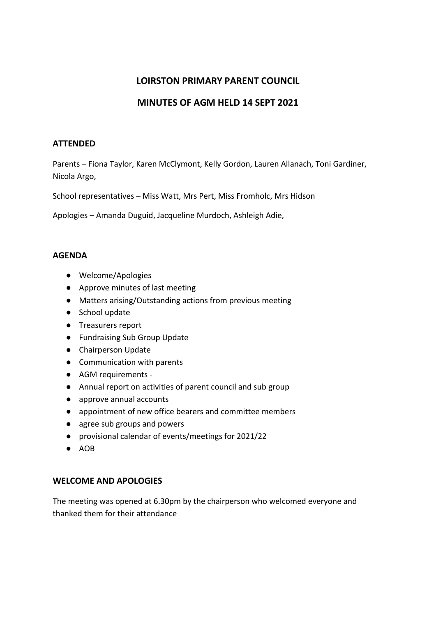# **LOIRSTON PRIMARY PARENT COUNCIL**

# **MINUTES OF AGM HELD 14 SEPT 2021**

### **ATTENDED**

Parents – Fiona Taylor, Karen McClymont, Kelly Gordon, Lauren Allanach, Toni Gardiner, Nicola Argo,

School representatives – Miss Watt, Mrs Pert, Miss Fromholc, Mrs Hidson

Apologies – Amanda Duguid, Jacqueline Murdoch, Ashleigh Adie,

### **AGENDA**

- Welcome/Apologies
- Approve minutes of last meeting
- Matters arising/Outstanding actions from previous meeting
- School update
- Treasurers report
- Fundraising Sub Group Update
- Chairperson Update
- Communication with parents
- AGM requirements -
- Annual report on activities of parent council and sub group
- approve annual accounts
- appointment of new office bearers and committee members
- agree sub groups and powers
- provisional calendar of events/meetings for 2021/22
- AOB

# **WELCOME AND APOLOGIES**

The meeting was opened at 6.30pm by the chairperson who welcomed everyone and thanked them for their attendance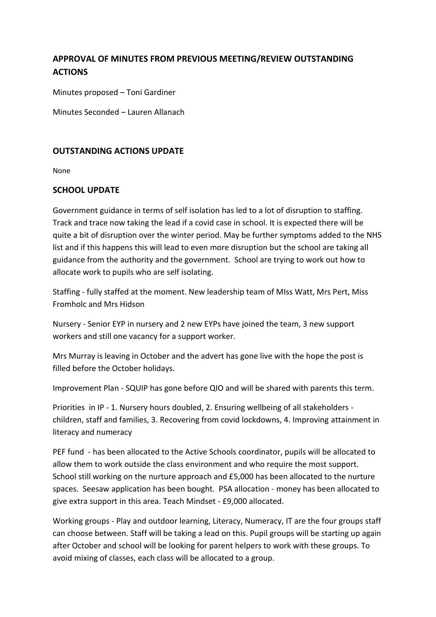# **APPROVAL OF MINUTES FROM PREVIOUS MEETING/REVIEW OUTSTANDING ACTIONS**

Minutes proposed – Toni Gardiner

Minutes Seconded – Lauren Allanach

# **OUTSTANDING ACTIONS UPDATE**

None

# **SCHOOL UPDATE**

Government guidance in terms of self isolation has led to a lot of disruption to staffing. Track and trace now taking the lead if a covid case in school. It is expected there will be quite a bit of disruption over the winter period. May be further symptoms added to the NHS list and if this happens this will lead to even more disruption but the school are taking all guidance from the authority and the government. School are trying to work out how to allocate work to pupils who are self isolating.

Staffing - fully staffed at the moment. New leadership team of MIss Watt, Mrs Pert, Miss Fromholc and Mrs Hidson

Nursery - Senior EYP in nursery and 2 new EYPs have joined the team, 3 new support workers and still one vacancy for a support worker.

Mrs Murray is leaving in October and the advert has gone live with the hope the post is filled before the October holidays.

Improvement Plan - SQUIP has gone before QIO and will be shared with parents this term.

Priorities in IP - 1. Nursery hours doubled, 2. Ensuring wellbeing of all stakeholders children, staff and families, 3. Recovering from covid lockdowns, 4. Improving attainment in literacy and numeracy

PEF fund - has been allocated to the Active Schools coordinator, pupils will be allocated to allow them to work outside the class environment and who require the most support. School still working on the nurture approach and £5,000 has been allocated to the nurture spaces. Seesaw application has been bought. PSA allocation - money has been allocated to give extra support in this area. Teach Mindset - £9,000 allocated.

Working groups - Play and outdoor learning, Literacy, Numeracy, IT are the four groups staff can choose between. Staff will be taking a lead on this. Pupil groups will be starting up again after October and school will be looking for parent helpers to work with these groups. To avoid mixing of classes, each class will be allocated to a group.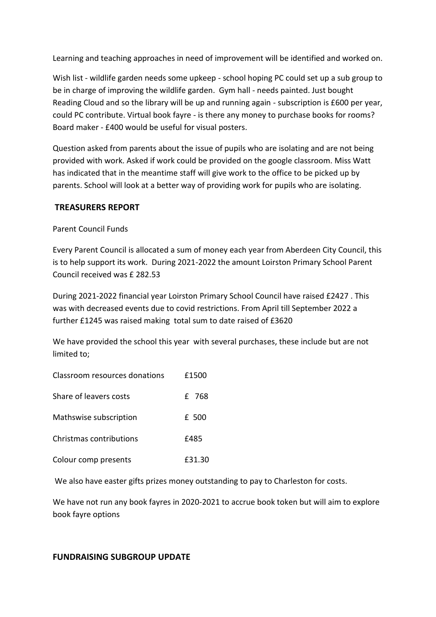Learning and teaching approaches in need of improvement will be identified and worked on.

Wish list - wildlife garden needs some upkeep - school hoping PC could set up a sub group to be in charge of improving the wildlife garden. Gym hall - needs painted. Just bought Reading Cloud and so the library will be up and running again - subscription is £600 per year, could PC contribute. Virtual book fayre - is there any money to purchase books for rooms? Board maker - £400 would be useful for visual posters.

Question asked from parents about the issue of pupils who are isolating and are not being provided with work. Asked if work could be provided on the google classroom. Miss Watt has indicated that in the meantime staff will give work to the office to be picked up by parents. School will look at a better way of providing work for pupils who are isolating.

# **TREASURERS REPORT**

Parent Council Funds

Every Parent Council is allocated a sum of money each year from Aberdeen City Council, this is to help support its work. During 2021-2022 the amount Loirston Primary School Parent Council received was £ 282.53

During 2021-2022 financial year Loirston Primary School Council have raised £2427 . This was with decreased events due to covid restrictions. From April till September 2022 a further £1245 was raised making total sum to date raised of £3620

We have provided the school this year with several purchases, these include but are not limited to;

| Classroom resources donations | £1500 |
|-------------------------------|-------|
| Share of leavers costs        | £ 768 |
| Mathswise subscription        | £ 500 |
| Christmas contributions       | f485  |

Colour comp presents £31.30

We also have easter gifts prizes money outstanding to pay to Charleston for costs.

We have not run any book fayres in 2020-2021 to accrue book token but will aim to explore book fayre options

# **FUNDRAISING SUBGROUP UPDATE**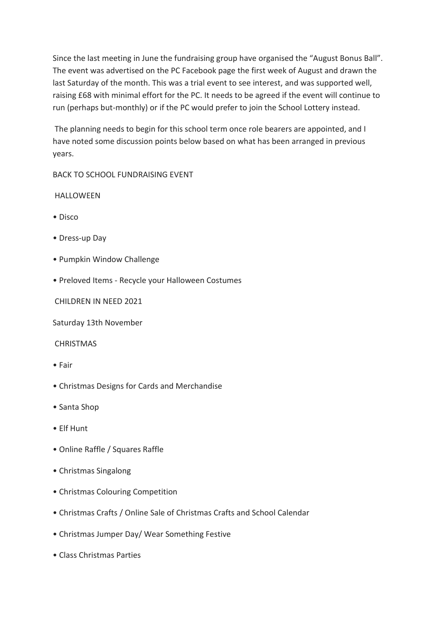Since the last meeting in June the fundraising group have organised the "August Bonus Ball". The event was advertised on the PC Facebook page the first week of August and drawn the last Saturday of the month. This was a trial event to see interest, and was supported well, raising £68 with minimal effort for the PC. It needs to be agreed if the event will continue to run (perhaps but-monthly) or if the PC would prefer to join the School Lottery instead.

The planning needs to begin for this school term once role bearers are appointed, and I have noted some discussion points below based on what has been arranged in previous years.

BACK TO SCHOOL FUNDRAISING EVENT

# HALLOWEEN

- Disco
- Dress-up Day
- Pumpkin Window Challenge
- Preloved Items Recycle your Halloween Costumes

CHILDREN IN NEED 2021

Saturday 13th November

#### **CHRISTMAS**

- Fair
- Christmas Designs for Cards and Merchandise
- Santa Shop
- Elf Hunt
- Online Raffle / Squares Raffle
- Christmas Singalong
- Christmas Colouring Competition
- Christmas Crafts / Online Sale of Christmas Crafts and School Calendar
- Christmas Jumper Day/ Wear Something Festive
- Class Christmas Parties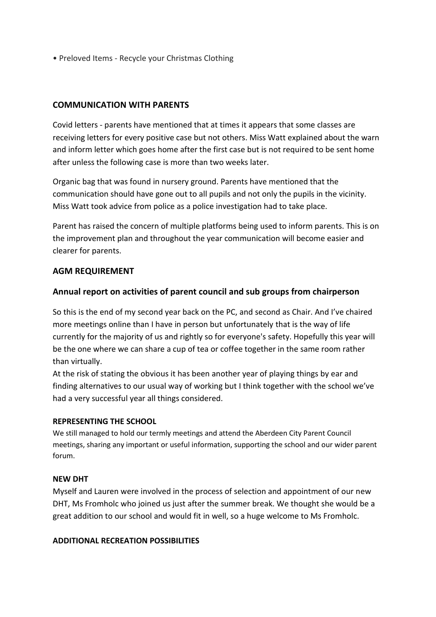• Preloved Items - Recycle your Christmas Clothing

# **COMMUNICATION WITH PARENTS**

Covid letters - parents have mentioned that at times it appears that some classes are receiving letters for every positive case but not others. Miss Watt explained about the warn and inform letter which goes home after the first case but is not required to be sent home after unless the following case is more than two weeks later.

Organic bag that was found in nursery ground. Parents have mentioned that the communication should have gone out to all pupils and not only the pupils in the vicinity. Miss Watt took advice from police as a police investigation had to take place.

Parent has raised the concern of multiple platforms being used to inform parents. This is on the improvement plan and throughout the year communication will become easier and clearer for parents.

# **AGM REQUIREMENT**

# **Annual report on activities of parent council and sub groups from chairperson**

So this is the end of my second year back on the PC, and second as Chair. And I've chaired more meetings online than I have in person but unfortunately that is the way of life currently for the majority of us and rightly so for everyone's safety. Hopefully this year will be the one where we can share a cup of tea or coffee together in the same room rather than virtually.

At the risk of stating the obvious it has been another year of playing things by ear and finding alternatives to our usual way of working but I think together with the school we've had a very successful year all things considered.

#### **REPRESENTING THE SCHOOL**

We still managed to hold our termly meetings and attend the Aberdeen City Parent Council meetings, sharing any important or useful information, supporting the school and our wider parent forum.

#### **NEW DHT**

Myself and Lauren were involved in the process of selection and appointment of our new DHT, Ms Fromholc who joined us just after the summer break. We thought she would be a great addition to our school and would fit in well, so a huge welcome to Ms Fromholc.

#### **ADDITIONAL RECREATION POSSIBILITIES**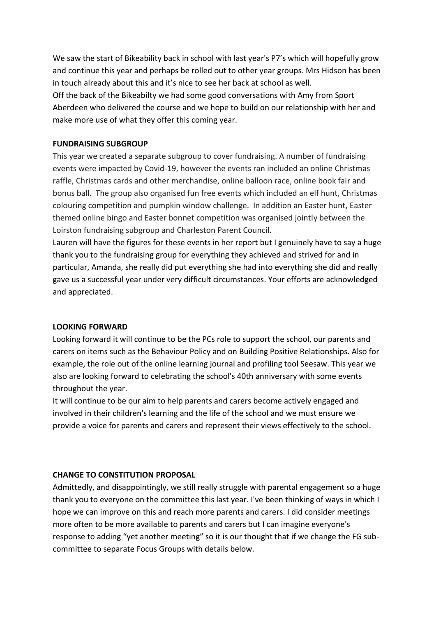We saw the start of Bikeability back in school with last year's P7's which will hopefully grow and continue this year and perhaps be rolled out to other year groups. Mrs Hidson has been in touch already about this and it's nice to see her back at school as well.

Off the back of the Bikeabilty we had some good conversations with Amy from Sport Aberdeen who delivered the course and we hope to build on our relationship with her and make more use of what they offer this coming year.

### **FUNDRAISING SUBGROUP**

This year we created a separate subgroup to cover fundraising. A number of fundraising events were impacted by Covid-19, however the events ran included an online Christmas raffle, Christmas cards and other merchandise, online balloon race, online book fair and bonus ball. The group also organised fun free events which included an elf hunt, Christmas colouring competition and pumpkin window challenge. In addition an Easter hunt, Easter themed online bingo and Easter bonnet competition was organised jointly between the Loirston fundraising subgroup and Charleston Parent Council.

Lauren will have the figures for these events in her report but I genuinely have to say a huge thank you to the fundraising group for everything they achieved and strived for and in particular, Amanda, she really did put everything she had into everything she did and really gave us a successful year under very difficult circumstances. Your efforts are acknowledged and appreciated.

# **LOOKING FORWARD**

Looking forward it will continue to be the PCs role to support the school, our parents and carers on items such as the Behaviour Policy and on Building Positive Relationships. Also for example, the role out of the online learning journal and profiling tool Seesaw. This year we also are looking forward to celebrating the school's 40th anniversary with some events throughout the year.

It will continue to be our aim to help parents and carers become actively engaged and involved in their children's learning and the life of the school and we must ensure we provide a voice for parents and carers and represent their views effectively to the school.

# **CHANGE TO CONSTITUTION PROPOSAL**

Admittedly, and disappointingly, we still really struggle with parental engagement so a huge thank you to everyone on the committee this last year. I've been thinking of ways in which I hope we can improve on this and reach more parents and carers. I did consider meetings more often to be more available to parents and carers but I can imagine everyone's response to adding "yet another meeting" so it is our thought that if we change the FG subcommittee to separate Focus Groups with details below.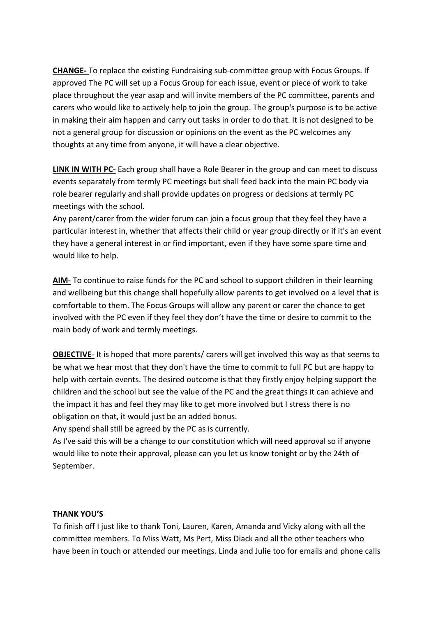**CHANGE-** To replace the existing Fundraising sub-committee group with Focus Groups. If approved The PC will set up a Focus Group for each issue, event or piece of work to take place throughout the year asap and will invite members of the PC committee, parents and carers who would like to actively help to join the group. The group's purpose is to be active in making their aim happen and carry out tasks in order to do that. It is not designed to be not a general group for discussion or opinions on the event as the PC welcomes any thoughts at any time from anyone, it will have a clear objective.

**LINK IN WITH PC-** Each group shall have a Role Bearer in the group and can meet to discuss events separately from termly PC meetings but shall feed back into the main PC body via role bearer regularly and shall provide updates on progress or decisions at termly PC meetings with the school.

Any parent/carer from the wider forum can join a focus group that they feel they have a particular interest in, whether that affects their child or year group directly or if it's an event they have a general interest in or find important, even if they have some spare time and would like to help.

AIM- To continue to raise funds for the PC and school to support children in their learning and wellbeing but this change shall hopefully allow parents to get involved on a level that is comfortable to them. The Focus Groups will allow any parent or carer the chance to get involved with the PC even if they feel they don't have the time or desire to commit to the main body of work and termly meetings.

**OBJECTIVE-** It is hoped that more parents/ carers will get involved this way as that seems to be what we hear most that they don't have the time to commit to full PC but are happy to help with certain events. The desired outcome is that they firstly enjoy helping support the children and the school but see the value of the PC and the great things it can achieve and the impact it has and feel they may like to get more involved but I stress there is no obligation on that, it would just be an added bonus.

Any spend shall still be agreed by the PC as is currently.

As I've said this will be a change to our constitution which will need approval so if anyone would like to note their approval, please can you let us know tonight or by the 24th of September.

#### **THANK YOU'S**

To finish off I just like to thank Toni, Lauren, Karen, Amanda and Vicky along with all the committee members. To Miss Watt, Ms Pert, Miss Diack and all the other teachers who have been in touch or attended our meetings. Linda and Julie too for emails and phone calls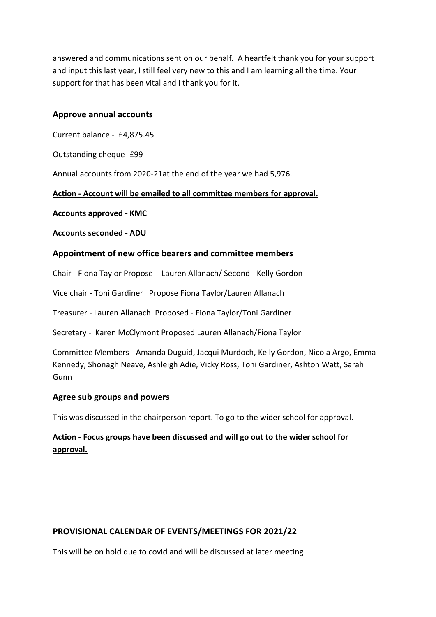answered and communications sent on our behalf. A heartfelt thank you for your support and input this last year, I still feel very new to this and I am learning all the time. Your support for that has been vital and I thank you for it.

# **Approve annual accounts**

Current balance - £4,875.45

Outstanding cheque -£99

Annual accounts from 2020-21at the end of the year we had 5,976.

**Action - Account will be emailed to all committee members for approval.**

**Accounts approved - KMC**

**Accounts seconded - ADU**

# **Appointment of new office bearers and committee members**

Chair - Fiona Taylor Propose - Lauren Allanach/ Second - Kelly Gordon

Vice chair - Toni Gardiner Propose Fiona Taylor/Lauren Allanach

Treasurer - Lauren Allanach Proposed - Fiona Taylor/Toni Gardiner

Secretary - Karen McClymont Proposed Lauren Allanach/Fiona Taylor

Committee Members - Amanda Duguid, Jacqui Murdoch, Kelly Gordon, Nicola Argo, Emma Kennedy, Shonagh Neave, Ashleigh Adie, Vicky Ross, Toni Gardiner, Ashton Watt, Sarah Gunn

# **Agree sub groups and powers**

This was discussed in the chairperson report. To go to the wider school for approval.

# **Action - Focus groups have been discussed and will go out to the wider school for approval.**

# **PROVISIONAL CALENDAR OF EVENTS/MEETINGS FOR 2021/22**

This will be on hold due to covid and will be discussed at later meeting